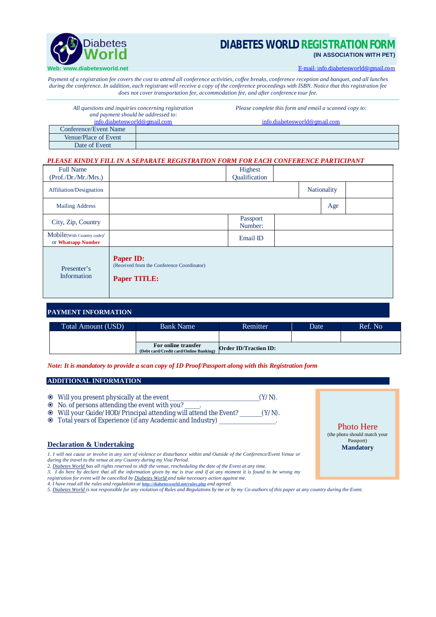

# **DIABETES WORLD REGISTRATION FO (IN ASSOCIATION WITH PET)**

E-mail: [info.diabetesworld@gmail.com](mailto:info.diabetesworld@gmail.com)

*Payment of a registration fee covers the cost to attend all conference activities, coffee breaks, conference reception and banquet, and all lunches during the conference. In addition, each registrant will receive a copy of the conference proceedings with ISBN. Notice that this registration fee does not cover transportation fee, accommodation fee, and after conference tour fee.*

| All questions and inquiries concerning registration |  | Please complete this form and email a scanned copy to: |  |  |  |  |
|-----------------------------------------------------|--|--------------------------------------------------------|--|--|--|--|
| and payment should be addressed to:                 |  |                                                        |  |  |  |  |
| info.diabetesworld@gmail.com                        |  | info.diabetesworld@gmail.com                           |  |  |  |  |
| Conference/Event Name                               |  |                                                        |  |  |  |  |
| Venue/Place of Event                                |  |                                                        |  |  |  |  |
| Date of Event                                       |  |                                                        |  |  |  |  |

### *PLEASE KINDLY FILL IN A SEPARATE REGISTRATION FORM FOR EACH CONFERENCE PARTICIPANT*

| <b>Full Name</b><br>(Prof./Dr./Mr./Mrs.)         |                                                                                       | Highest<br>Qualification |  |             |  |
|--------------------------------------------------|---------------------------------------------------------------------------------------|--------------------------|--|-------------|--|
| Affiliation/Designation                          |                                                                                       |                          |  | Nationality |  |
| <b>Mailing Address</b>                           |                                                                                       |                          |  | Age         |  |
| City, Zip, Country                               |                                                                                       | Passport<br>Number:      |  |             |  |
| Mobile(With Country code)/<br>or Whatsapp Number |                                                                                       | Email ID                 |  |             |  |
| Presenter's<br>Information                       | <b>Paper ID:</b><br>(Received from the Conference Coordinator)<br><b>Paper TITLE:</b> |                          |  |             |  |

## **PAYMENT INFORMATION**

| Total Amount (USD) | <b>Bank Name</b>                                              | Remitter                     | Date' | Ref. No |
|--------------------|---------------------------------------------------------------|------------------------------|-------|---------|
|                    |                                                               |                              |       |         |
|                    | For online transfer<br>(Debt card/Credit card/Online Banking) | <b>Order ID/Traction ID:</b> |       |         |

### *Note: It is mandatory to provide a scan copy of ID Proof/Passport along with this Registration form*

## **ADDITIONAL INFORMATION**

- Will you present physically at the event\_\_\_\_\_\_\_\_\_\_\_\_\_\_\_\_\_\_\_\_\_\_\_\_\_\_\_\_\_\_\_\_\_\_\_\_\_(Y/N).
- No. of persons attending the event with you? \_\_\_\_\_\_.
- Will your Guide/HOD/Principal attending will attend the Event? \_\_\_\_\_\_\_\_\_(Y/N).
- $\odot$  Total years of Experience (if any Academic and Industry) \_

## **Declaration & Undertaking**

*1. I will not cause or involve in any sort of violence or disturbance within and Outside of the Conference/Event Venue or during the travel to the venue at any Country during my Visa Period.*

- 2. <u>Diabetes World h</u>as all rights reserved to shift the venue, rescheduling the date of the Event at any time.<br>3. I do here by declare that all the information given by me is true and if at any moment it is found to be wr
- *registration for event will be cancelled by Diabetes World and take necessary action against me.*
- *4. I have read all the rules and regulations at* **<http://diabetesworld.net/rules.php>** *and agreed.*
- *5. Diabetes World is not responsible for any violation of Rules and Regulations by me or by my Co-authors of this paper at any country during the Event.*

Photo Here (the photo should match your Passport) **Mandatory**